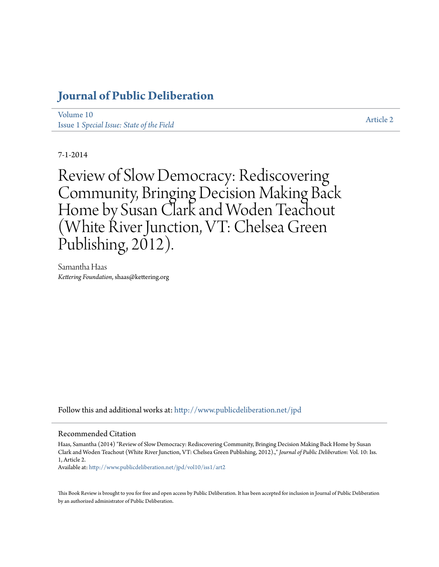## **[Journal of Public Deliberation](http://www.publicdeliberation.net/jpd?utm_source=www.publicdeliberation.net%2Fjpd%2Fvol10%2Fiss1%2Fart2&utm_medium=PDF&utm_campaign=PDFCoverPages)**

[Volume 10](http://www.publicdeliberation.net/jpd/vol10?utm_source=www.publicdeliberation.net%2Fjpd%2Fvol10%2Fiss1%2Fart2&utm_medium=PDF&utm_campaign=PDFCoverPages) Issue 1 *[Special Issue: State of the Field](http://www.publicdeliberation.net/jpd/vol10/iss1?utm_source=www.publicdeliberation.net%2Fjpd%2Fvol10%2Fiss1%2Fart2&utm_medium=PDF&utm_campaign=PDFCoverPages)*

[Article 2](http://www.publicdeliberation.net/jpd/vol10/iss1/art2?utm_source=www.publicdeliberation.net%2Fjpd%2Fvol10%2Fiss1%2Fart2&utm_medium=PDF&utm_campaign=PDFCoverPages)

7-1-2014

Review of Slow Democracy: Rediscovering Community, Bringing Decision Making Back Home by Susan Clark and Woden Teachout (White River Junction, VT: Chelsea Green Publishing,  $2012$ ).

Samantha Haas *Kettering Foundation*, shaas@kettering.org

Follow this and additional works at: [http://www.publicdeliberation.net/jpd](http://www.publicdeliberation.net/jpd?utm_source=www.publicdeliberation.net%2Fjpd%2Fvol10%2Fiss1%2Fart2&utm_medium=PDF&utm_campaign=PDFCoverPages)

## Recommended Citation

Haas, Samantha (2014) "Review of Slow Democracy: Rediscovering Community, Bringing Decision Making Back Home by Susan Clark and Woden Teachout (White River Junction, VT: Chelsea Green Publishing, 2012).," *Journal of Public Deliberation*: Vol. 10: Iss. 1, Article 2.

Available at: [http://www.publicdeliberation.net/jpd/vol10/iss1/art2](http://www.publicdeliberation.net/jpd/vol10/iss1/art2?utm_source=www.publicdeliberation.net%2Fjpd%2Fvol10%2Fiss1%2Fart2&utm_medium=PDF&utm_campaign=PDFCoverPages)

This Book Review is brought to you for free and open access by Public Deliberation. It has been accepted for inclusion in Journal of Public Deliberation by an authorized administrator of Public Deliberation.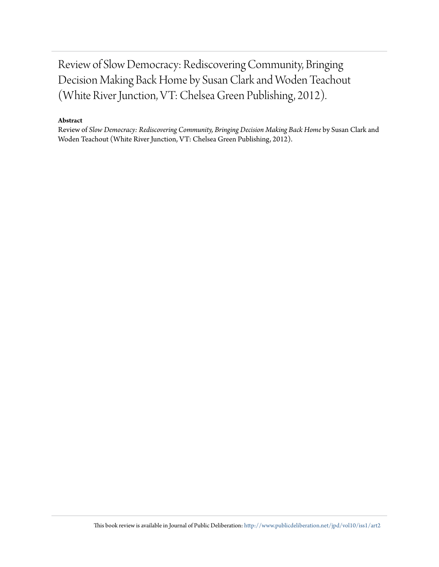Review of Slow Democracy: Rediscovering Community, Bringing Decision Making Back Home by Susan Clark and Woden Teachout (White River Junction, VT: Chelsea Green Publishing, 2012).

## **Abstract**

Review of *Slow Democracy: Rediscovering Community, Bringing Decision Making Back Home* by Susan Clark and Woden Teachout (White River Junction, VT: Chelsea Green Publishing, 2012).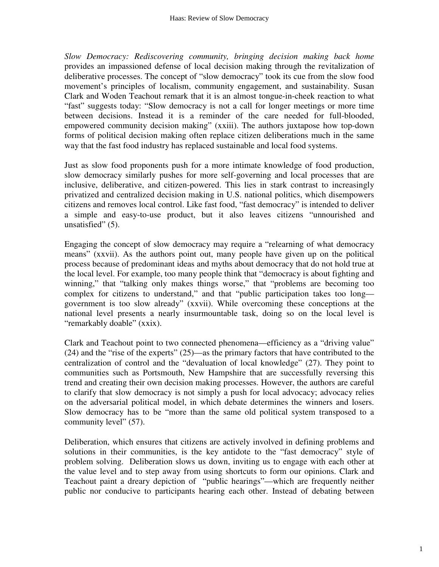*Slow Democracy: Rediscovering community, bringing decision making back home*  provides an impassioned defense of local decision making through the revitalization of deliberative processes. The concept of "slow democracy" took its cue from the slow food movement's principles of localism, community engagement, and sustainability. Susan Clark and Woden Teachout remark that it is an almost tongue-in-cheek reaction to what "fast" suggests today: "Slow democracy is not a call for longer meetings or more time between decisions. Instead it is a reminder of the care needed for full-blooded, empowered community decision making" (xxiii). The authors juxtapose how top-down forms of political decision making often replace citizen deliberations much in the same way that the fast food industry has replaced sustainable and local food systems.

Just as slow food proponents push for a more intimate knowledge of food production, slow democracy similarly pushes for more self-governing and local processes that are inclusive, deliberative, and citizen-powered. This lies in stark contrast to increasingly privatized and centralized decision making in U.S. national politics, which disempowers citizens and removes local control. Like fast food, "fast democracy" is intended to deliver a simple and easy-to-use product, but it also leaves citizens "unnourished and unsatisfied" (5).

Engaging the concept of slow democracy may require a "relearning of what democracy means" (xxvii). As the authors point out, many people have given up on the political process because of predominant ideas and myths about democracy that do not hold true at the local level. For example, too many people think that "democracy is about fighting and winning," that "talking only makes things worse," that "problems are becoming too complex for citizens to understand," and that "public participation takes too long government is too slow already" (xxvii). While overcoming these conceptions at the national level presents a nearly insurmountable task, doing so on the local level is "remarkably doable" (xxix).

Clark and Teachout point to two connected phenomena—efficiency as a "driving value" (24) and the "rise of the experts" (25)—as the primary factors that have contributed to the centralization of control and the "devaluation of local knowledge" (27). They point to communities such as Portsmouth, New Hampshire that are successfully reversing this trend and creating their own decision making processes. However, the authors are careful to clarify that slow democracy is not simply a push for local advocacy; advocacy relies on the adversarial political model, in which debate determines the winners and losers. Slow democracy has to be "more than the same old political system transposed to a community level" (57).

Deliberation, which ensures that citizens are actively involved in defining problems and solutions in their communities, is the key antidote to the "fast democracy" style of problem solving. Deliberation slows us down, inviting us to engage with each other at the value level and to step away from using shortcuts to form our opinions. Clark and Teachout paint a dreary depiction of "public hearings"—which are frequently neither public nor conducive to participants hearing each other. Instead of debating between